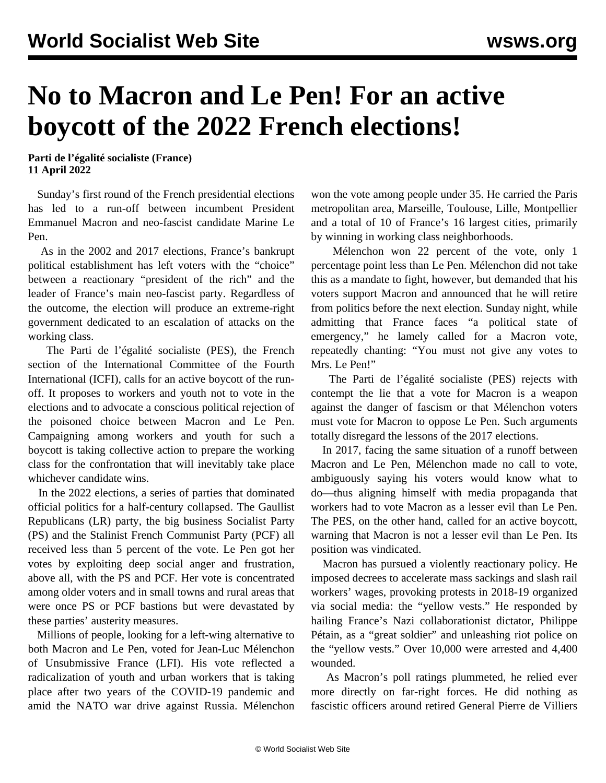## **No to Macron and Le Pen! For an active boycott of the 2022 French elections!**

**Parti de l'égalité socialiste (France) 11 April 2022**

 Sunday's first round of the French presidential elections has led to a run-off between incumbent President Emmanuel Macron and neo-fascist candidate Marine Le Pen.

 As in the 2002 and 2017 elections, France's bankrupt political establishment has left voters with the "choice" between a reactionary "president of the rich" and the leader of France's main neo-fascist party. Regardless of the outcome, the election will produce an extreme-right government dedicated to an escalation of attacks on the working class.

 The Parti de l'égalité socialiste (PES), the French section of the International Committee of the Fourth International (ICFI), calls for an active boycott of the runoff. It proposes to workers and youth not to vote in the elections and to advocate a conscious political rejection of the poisoned choice between Macron and Le Pen. Campaigning among workers and youth for such a boycott is taking collective action to prepare the working class for the confrontation that will inevitably take place whichever candidate wins.

 In the 2022 elections, a series of parties that dominated official politics for a half-century collapsed. The Gaullist Republicans (LR) party, the big business Socialist Party (PS) and the Stalinist French Communist Party (PCF) all received less than 5 percent of the vote. Le Pen got her votes by exploiting deep social anger and frustration, above all, with the PS and PCF. Her vote is concentrated among older voters and in small towns and rural areas that were once PS or PCF bastions but were devastated by these parties' austerity measures.

 Millions of people, looking for a left-wing alternative to both Macron and Le Pen, voted for Jean-Luc Mélenchon of Unsubmissive France (LFI). His vote reflected a radicalization of youth and urban workers that is taking place after two years of the COVID-19 pandemic and amid the NATO war drive against Russia. Mélenchon

won the vote among people under 35. He carried the Paris metropolitan area, Marseille, Toulouse, Lille, Montpellier and a total of 10 of France's 16 largest cities, primarily by winning in working class neighborhoods.

 Mélenchon won 22 percent of the vote, only 1 percentage point less than Le Pen. Mélenchon did not take this as a mandate to fight, however, but demanded that his voters support Macron and announced that he will retire from politics before the next election. Sunday night, while admitting that France faces "a political state of emergency," he lamely called for a Macron vote, repeatedly chanting: "You must not give any votes to Mrs. Le Pen!"

 The Parti de l'égalité socialiste (PES) rejects with contempt the lie that a vote for Macron is a weapon against the danger of fascism or that Mélenchon voters must vote for Macron to oppose Le Pen. Such arguments totally disregard the lessons of the 2017 elections.

 In 2017, facing the same situation of a runoff between Macron and Le Pen, Mélenchon made no call to vote, ambiguously saying his voters would know what to do—thus aligning himself with media propaganda that workers had to vote Macron as a lesser evil than Le Pen. The PES, on the other hand, called for an active boycott, warning that Macron is not a lesser evil than Le Pen. Its position was vindicated.

 Macron has pursued a violently reactionary policy. He imposed decrees to accelerate mass sackings and slash rail workers' wages, provoking protests in 2018-19 organized via social media: the "yellow vests." He responded by hailing France's Nazi collaborationist dictator, Philippe Pétain, as a "great soldier" and unleashing riot police on the "yellow vests." Over 10,000 were arrested and 4,400 wounded.

 As Macron's poll ratings plummeted, he relied ever more directly on far-right forces. He did nothing as fascistic officers around retired General Pierre de Villiers